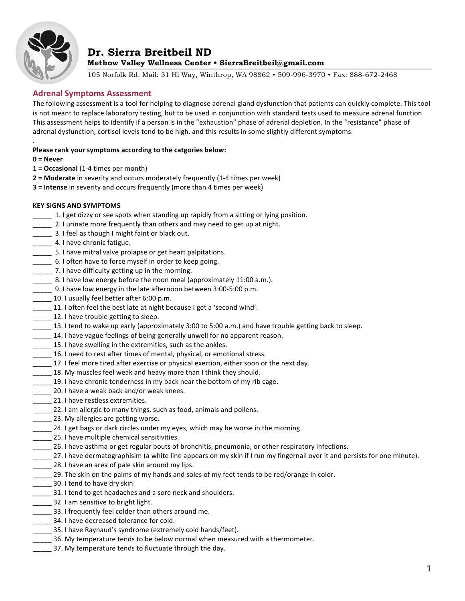

# **Dr. Sierra Breitbeil ND Methow Valley Wellness Center • SierraBreitbeil@gmail.com**

105 Norfolk Rd, Mail: 31 Hi Way, Winthrop, WA 98862 • 509-996-3970 • Fax: 888-672-2468

# **Adrenal Symptoms Assessment**

The following assessment is a tool for helping to diagnose adrenal gland dysfunction that patients can quickly complete. This tool is not meant to replace laboratory testing, but to be used in conjunction with standard tests used to measure adrenal function. This assessment helps to identify if a person is in the "exhaustion" phase of adrenal depletion. In the "resistance" phase of adrenal dysfunction, cortisol levels tend to be high, and this results in some slightly different symptoms.

#### . **Please rank your symptoms according to the catgories below:**

- **0 = Never**
- **1 = Occasional** (1-4 times per month)
- **2 = Moderate** in severity and occurs moderately frequently (1-4 times per week)
- **3 = Intense** in severity and occurs frequently (more than 4 times per week)

### **KEY SIGNS AND SYMPTOMS**

- 1. I get dizzy or see spots when standing up rapidly from a sitting or lying position.
- **\_\_\_\_\_** 2. I urinate more frequently than others and may need to get up at night.
- 3. I feel as though I might faint or black out.
- **\_\_\_\_\_** 4. I have chronic fatigue.
- 5. I have mitral valve prolapse or get heart palpitations.
- 6. I often have to force myself in order to keep going.
- \_\_\_\_\_ 7. I have difficulty getting up in the morning.
- **\_\_\_\_\_** 8. I have low energy before the noon meal (approximately 11:00 a.m.).
- 9. I have low energy in the late afternoon between 3:00-5:00 p.m.
- \_\_\_\_\_ 10. I usually feel better after 6:00 p.m.
- **\_\_\_\_\_** 11. I often feel the best late at night because I get a 'second wind'.
- 12. I have trouble getting to sleep.
- 13. I tend to wake up early (approximately 3:00 to 5:00 a.m.) and have trouble getting back to sleep.
- **\_\_\_\_\_** 14. I have vague feelings of being generally unwell for no apparent reason.
- **\_\_\_\_\_** 15. I have swelling in the extremities, such as the ankles.
- 16. I need to rest after times of mental, physical, or emotional stress.
- \_\_\_\_\_ 17. I feel more tired after exercise or physical exertion, either soon or the next day.
- **\_\_\_\_\_** 18. My muscles feel weak and heavy more than I think they should.
- 19. I have chronic tenderness in my back near the bottom of my rib cage.
- 20. I have a weak back and/or weak knees.
- \_\_\_\_\_ 21. I have restless extremities.
- **22. I am allergic to many things, such as food, animals and pollens.**
- 23. My allergies are getting worse.
- 14. I get bags or dark circles under my eyes, which may be worse in the morning.
- 25. I have multiple chemical sensitivities.
- \_\_\_\_\_ 26. I have asthma or get regular bouts of bronchitis, pneumonia, or other respiratory infections.
- \_\_\_\_\_ 27. I have dermatographisim (a white line appears on my skin if I run my fingernail over it and persists for one minute).
- **\_\_\_\_\_** 28. I have an area of pale skin around my lips.
- \_\_\_\_\_ 29. The skin on the palms of my hands and soles of my feet tends to be red/orange in color.
- **120.** 30. I tend to have dry skin.
- \_\_\_\_\_ 31. I tend to get headaches and a sore neck and shoulders.
- \_\_\_\_\_ 32. I am sensitive to bright light.
- \_\_\_\_\_ 33. I frequently feel colder than others around me.
- \_\_\_\_\_ 34. I have decreased tolerance for cold.
- 35. I have Raynaud's syndrome (extremely cold hands/feet).
- \_\_\_\_\_ 36. My temperature tends to be below normal when measured with a thermometer.
- 37. My temperature tends to fluctuate through the day.